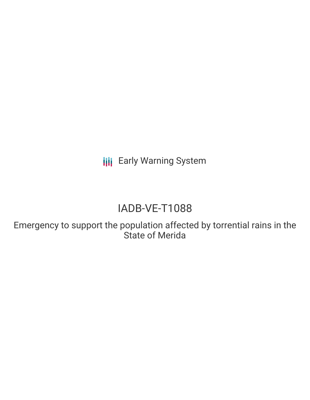**III** Early Warning System

# IADB-VE-T1088

Emergency to support the population affected by torrential rains in the State of Merida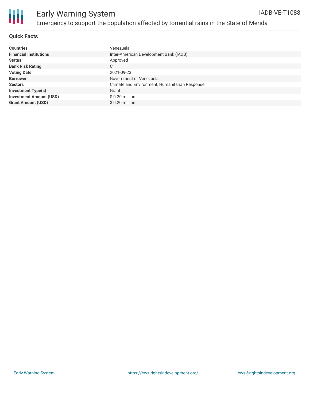

#### **Quick Facts**

| <b>Countries</b>               | Venezuela                                      |
|--------------------------------|------------------------------------------------|
| <b>Financial Institutions</b>  | Inter-American Development Bank (IADB)         |
| <b>Status</b>                  | Approved                                       |
| <b>Bank Risk Rating</b>        | C                                              |
| <b>Voting Date</b>             | 2021-09-23                                     |
| <b>Borrower</b>                | Government of Venezuela                        |
| <b>Sectors</b>                 | Climate and Environment, Humanitarian Response |
| <b>Investment Type(s)</b>      | Grant                                          |
| <b>Investment Amount (USD)</b> | \$ 0.20 million                                |
| <b>Grant Amount (USD)</b>      | $$0.20$ million                                |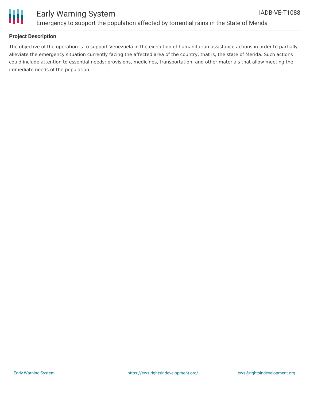

# Ш

# Early Warning System Emergency to support the population affected by torrential rains in the State of Merida

## **Project Description**

The objective of the operation is to support Venezuela in the execution of humanitarian assistance actions in order to partially alleviate the emergency situation currently facing the affected area of the country, that is, the state of Merida. Such actions could include attention to essential needs; provisions, medicines, transportation, and other materials that allow meeting the immediate needs of the population.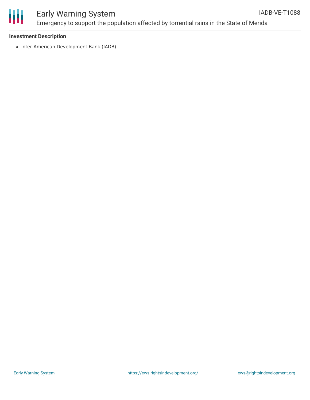

# ₩

# Early Warning System Emergency to support the population affected by torrential rains in the State of Merida

#### **Investment Description**

• Inter-American Development Bank (IADB)